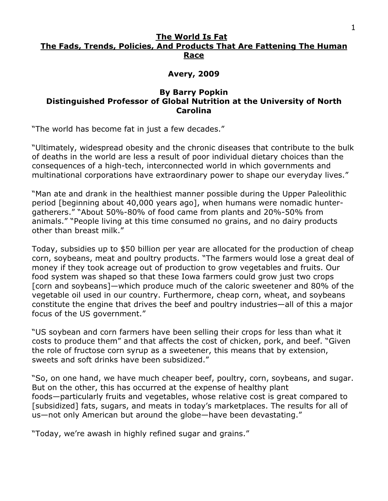## **The World Is Fat The Fads, Trends, Policies, And Products That Are Fattening The Human Race**

## **Avery, 2009**

## **By Barry Popkin Distinguished Professor of Global Nutrition at the University of North Carolina**

"The world has become fat in just a few decades."

"Ultimately, widespread obesity and the chronic diseases that contribute to the bulk of deaths in the world are less a result of poor individual dietary choices than the consequences of a high-tech, interconnected world in which governments and multinational corporations have extraordinary power to shape our everyday lives."

"Man ate and drank in the healthiest manner possible during the Upper Paleolithic period [beginning about 40,000 years ago], when humans were nomadic huntergatherers." "About 50%-80% of food came from plants and 20%-50% from animals." "People living at this time consumed no grains, and no dairy products other than breast milk."

Today, subsidies up to \$50 billion per year are allocated for the production of cheap corn, soybeans, meat and poultry products. "The farmers would lose a great deal of money if they took acreage out of production to grow vegetables and fruits. Our food system was shaped so that these Iowa farmers could grow just two crops [corn and soybeans]—which produce much of the caloric sweetener and 80% of the vegetable oil used in our country. Furthermore, cheap corn, wheat, and soybeans constitute the engine that drives the beef and poultry industries—all of this a major focus of the US government."

"US soybean and corn farmers have been selling their crops for less than what it costs to produce them" and that affects the cost of chicken, pork, and beef. "Given the role of fructose corn syrup as a sweetener, this means that by extension, sweets and soft drinks have been subsidized."

"So, on one hand, we have much cheaper beef, poultry, corn, soybeans, and sugar. But on the other, this has occurred at the expense of healthy plant foods—particularly fruits and vegetables, whose relative cost is great compared to [subsidized] fats, sugars, and meats in today's marketplaces. The results for all of us—not only American but around the globe—have been devastating."

"Today, we're awash in highly refined sugar and grains."